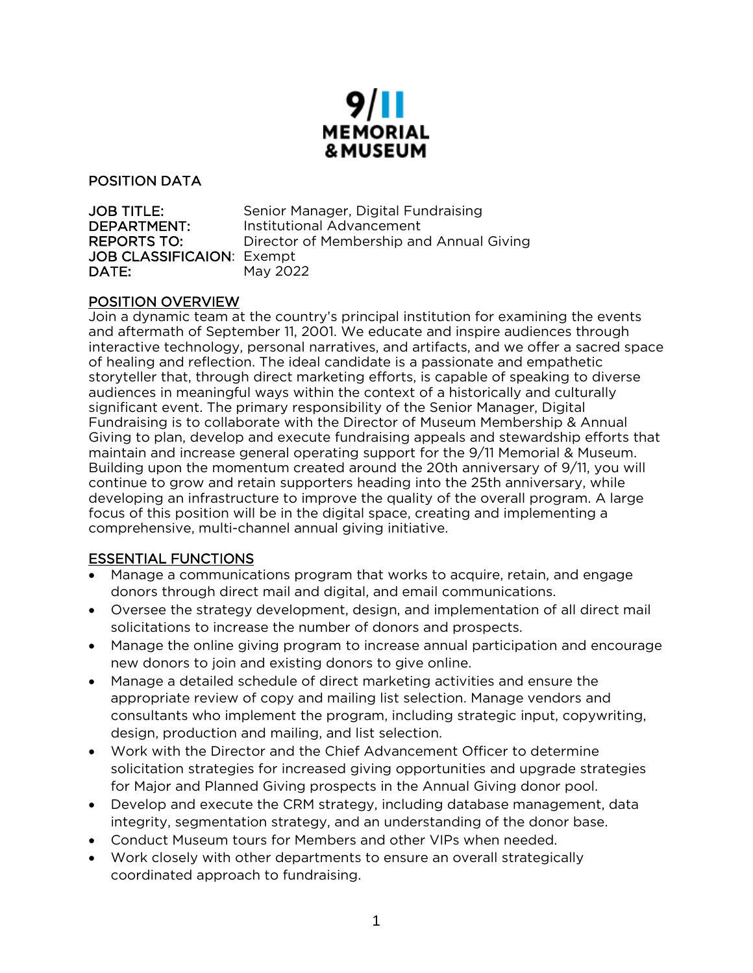

### POSITION DATA

| <b>JOB TITLE:</b>                | Senior Manager, Digital Fundraising      |
|----------------------------------|------------------------------------------|
| DEPARTMENT:                      | Institutional Advancement                |
| <b>REPORTS TO:</b>               | Director of Membership and Annual Giving |
| <b>JOB CLASSIFICAION: Exempt</b> |                                          |
| DATE:                            | May 2022                                 |

#### POSITION OVERVIEW

Join a dynamic team at the country's principal institution for examining the events and aftermath of September 11, 2001. We educate and inspire audiences through interactive technology, personal narratives, and artifacts, and we offer a sacred space of healing and reflection. The ideal candidate is a passionate and empathetic storyteller that, through direct marketing efforts, is capable of speaking to diverse audiences in meaningful ways within the context of a historically and culturally significant event. The primary responsibility of the Senior Manager, Digital Fundraising is to collaborate with the Director of Museum Membership & Annual Giving to plan, develop and execute fundraising appeals and stewardship efforts that maintain and increase general operating support for the 9/11 Memorial & Museum. Building upon the momentum created around the 20th anniversary of 9/11, you will continue to grow and retain supporters heading into the 25th anniversary, while developing an infrastructure to improve the quality of the overall program. A large focus of this position will be in the digital space, creating and implementing a comprehensive, multi-channel annual giving initiative.

### ESSENTIAL FUNCTIONS

- Manage a communications program that works to acquire, retain, and engage donors through direct mail and digital, and email communications.
- Oversee the strategy development, design, and implementation of all direct mail solicitations to increase the number of donors and prospects.
- Manage the online giving program to increase annual participation and encourage new donors to join and existing donors to give online.
- Manage a detailed schedule of direct marketing activities and ensure the appropriate review of copy and mailing list selection. Manage vendors and consultants who implement the program, including strategic input, copywriting, design, production and mailing, and list selection.
- Work with the Director and the Chief Advancement Officer to determine solicitation strategies for increased giving opportunities and upgrade strategies for Major and Planned Giving prospects in the Annual Giving donor pool.
- Develop and execute the CRM strategy, including database management, data integrity, segmentation strategy, and an understanding of the donor base.
- Conduct Museum tours for Members and other VIPs when needed.
- Work closely with other departments to ensure an overall strategically coordinated approach to fundraising.